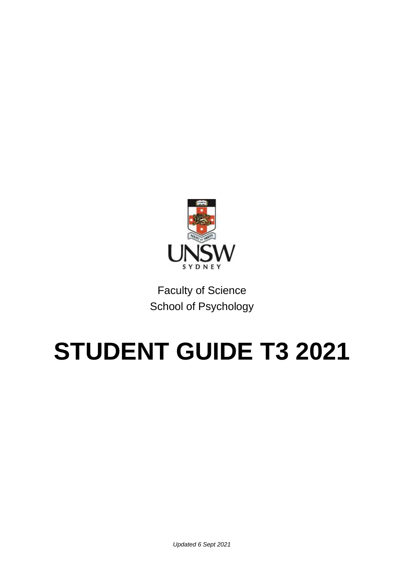

Faculty of Science School of Psychology

# **STUDENT GUIDE T3 2021**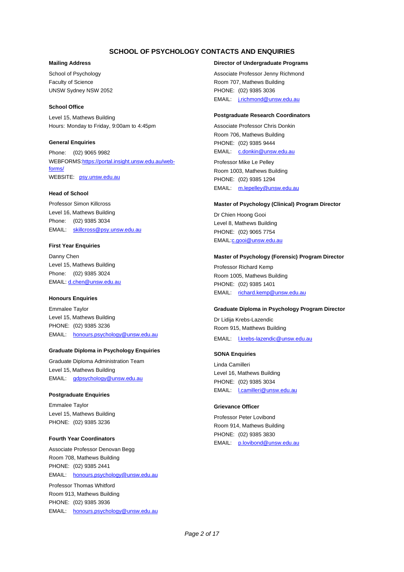## **SCHOOL OF PSYCHOLOGY CONTACTS AND ENQUIRIES**

#### **Mailing Address**

School of Psychology Faculty of Science UNSW Sydney NSW 2052

#### **School Office**

Level 15, Mathews Building Hours: Monday to Friday, 9:00am to 4:45pm

#### **General Enquiries**

Phone: (02) 9065 9982 WEBFORM[S:https://portal.insight.unsw.edu.au/web](https://portal.insight.unsw.edu.au/web-forms/)[forms/](https://portal.insight.unsw.edu.au/web-forms/) WEBSITE: [psy.unsw.edu.au](http://www.psy.unsw.edu.au/)

#### **Head of School**

Professor Simon Killcross Level 16, Mathews Building Phone: (02) 9385 3034 EMAIL: [skillcross@psy.unsw.edu.au](mailto:skillcross@psy.unsw.edu.au)

#### **First Year Enquiries**

Danny Chen Level 15, Mathews Building Phone: (02) 9385 3024 EMAIL[: d.chen@unsw.edu.au](mailto:d.chen@unsw.edu.au)

#### **Honours Enquiries**

Emmalee Taylor Level 15, Mathews Building PHONE: (02) 9385 3236 EMAIL: [honours.psychology@unsw.edu.au](mailto:honours.psychology@unsw.edu.au)

#### **Graduate Diploma in Psychology Enquiries**

Graduate Diploma Administration Team Level 15, Mathews Building EMAIL: [gdpsychology@unsw.edu.au](mailto:gdpsychology@unsw.edu.au)

#### **Postgraduate Enquiries**

Emmalee Taylor Level 15, Mathews Building PHONE: (02) 9385 3236

#### **Fourth Year Coordinators**

Associate Professor Denovan Begg Room 708, Mathews Building PHONE: (02) 9385 2441 EMAIL: [honours.psychology@unsw.edu.au](mailto:honours.psychology@unsw.edu.au)

Professor Thomas Whitford Room 913, Mathews Building PHONE: (02) 9385 3936 EMAIL: [honours.psychology@unsw.edu.au](mailto:honours.psychology@unsw.edu.au)

#### **Director of Undergraduate Programs**

Associate Professor Jenny Richmond Room 707, Mathews Building PHONE: (02) 9385 3036 EMAIL: [j.richmond@unsw.edu.au](mailto:j.richmond@unsw.edu.au)

#### **Postgraduate Research Coordinators**

Associate Professor Chris Donkin Room 706, Mathews Building PHONE: (02) 9385 9444 EMAIL: [c.donkin@unsw.edu.au](mailto:c.donkin@unsw.edu.au)

Professor Mike Le Pelley Room 1003, Mathews Building PHONE: (02) 9385 1294 EMAIL: [m.lepelley@unsw.edu.au](mailto:m.lepelley@unsw.edu.au)

#### **Master of Psychology (Clinical) Program Director**

Dr Chien Hoong Gooi Level 8, Mathews Building PHONE: (02) 9065 7754 EMAI[L:c.gooi@unsw.edu.au](mailto:c.gooi@unsw.edu.au)

#### **Master of Psychology (Forensic) Program Director**

Professor Richard Kemp Room 1005, Mathews Building PHONE: (02) 9385 1401 EMAIL: [richard.kemp@unsw.edu.au](mailto:richard.kemp@unsw.edu.au)

#### **Graduate Diploma in Psychology Program Director**

Dr Lidija Krebs-Lazendic Room 915, Matthews Building

EMAIL: [l.krebs-lazendic@unsw.edu.au](mailto:l.krebs-lazendic@unsw.edu.au)

#### **SONA Enquiries**

Linda Camilleri Level 16, Mathews Building PHONE: (02) 9385 3034 EMAIL: [l.camilleri@unsw.edu.au](mailto:l.camilleri@unsw.edu.au)

#### **Grievance Officer**

Professor Peter Lovibond Room 914, Mathews Building PHONE: (02) 9385 3830 EMAIL: [p.lovibond@unsw.edu.au](mailto:p.lovibond@unsw.edu.au)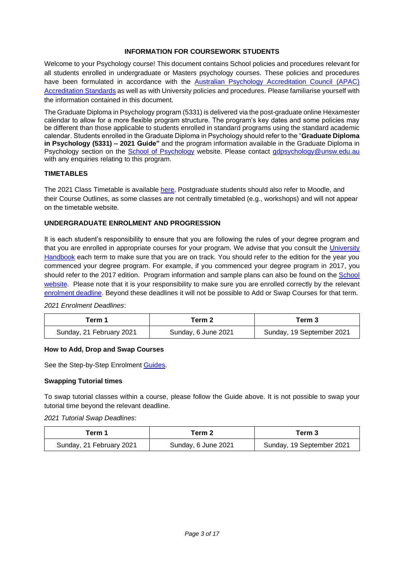# **INFORMATION FOR COURSEWORK STUDENTS**

Welcome to your Psychology course! This document contains School policies and procedures relevant for all students enrolled in undergraduate or Masters psychology courses. These policies and procedures have been formulated in accordance with the Australian Psychology Accreditation Council (APAC) [Accreditation Standards](https://www.psychologycouncil.org.au/sites/default/files/public/Standards_20180912_Published_Final_v1.2.pdf) as well as with University policies and procedures. Please familiarise yourself with the information contained in this document.

The Graduate Diploma in Psychology program (5331) is delivered via the post-graduate online Hexamester calendar to allow for a more flexible program structure. The program's key dates and some policies may be different than those applicable to students enrolled in standard programs using the standard academic calendar. Students enrolled in the Graduate Diploma in Psychology should refer to the "**Graduate Diploma in Psychology (5331) – 2021 Guide"** and the program information available in the Graduate Diploma in Psychology section on the [School of Psychology](http://www.psy.unsw.edu.au/) website. Please contact [gdpsychology@unsw.edu.au](mailto:gdpsychology@unsw.edu.au) with any enquiries relating to this program.

# **TIMETABLES**

The 2021 Class Timetable is available [here.](http://timetable.unsw.edu.au/current/PSYCKENS.html) Postgraduate students should also refer to Moodle, and their Course Outlines, as some classes are not centrally timetabled (e.g., workshops) and will not appear on the timetable website.

# **UNDERGRADUATE ENROLMENT AND PROGRESSION**

It is each student's responsibility to ensure that you are following the rules of your degree program and that you are enrolled in appropriate courses for your program. We advise that you consult the University [Handbook](http://www.handbook.unsw.edu.au/) each term to make sure that you are on track. You should refer to the edition for the year you commenced your degree program. For example, if you commenced your degree program in 2017, you should refer to the 2017 edition. Program information and sample plans can also be found on the [School](http://www.psy.unsw.edu.au/current-students/undergraduate/course-selection)  [website.](http://www.psy.unsw.edu.au/current-students/undergraduate/course-selection) Please note that it is your responsibility to make sure you are enrolled correctly by the relevant [enrolment deadline.](https://student.unsw.edu.au/enrolment-dates) Beyond these deadlines it will not be possible to Add or Swap Courses for that term.

*2021 Enrolment Deadlines*:

| . erm 1                  | Term 2              | Term 3                    |
|--------------------------|---------------------|---------------------------|
| Sunday, 21 February 2021 | Sunday, 6 June 2021 | Sunday, 19 September 2021 |

## **How to Add, Drop and Swap Courses**

See the [Step-by-Step Enrolment Guides.](https://student.unsw.edu.au/enrol/annual)

## **Swapping Tutorial times**

To swap tutorial classes within a course, please follow the Guide above. It is not possible to swap your tutorial time beyond the relevant deadline.

*2021 Tutorial Swap Deadlines*:

| erm 1                    | Term 2              | Term 3                    |
|--------------------------|---------------------|---------------------------|
| Sunday, 21 February 2021 | Sunday, 6 June 2021 | Sunday, 19 September 2021 |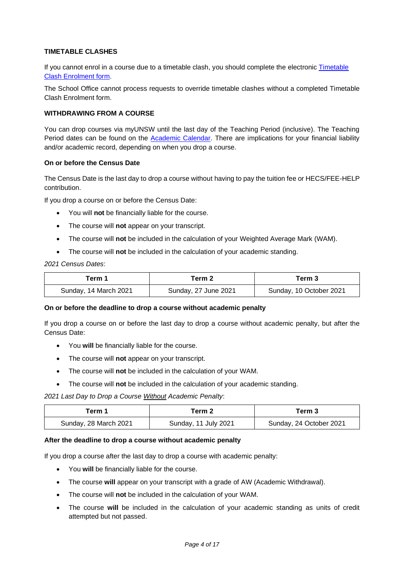# **TIMETABLE CLASHES**

If you cannot enrol in a course due to a timetable clash, you should complete the electronic **Timetable** [Clash Enrolment](https://portal.insight.unsw.edu.au/web-forms/) form.

The School Office cannot process requests to override timetable clashes without a completed Timetable Clash Enrolment form.

## **WITHDRAWING FROM A COURSE**

You can drop courses via myUNSW until the last day of the Teaching Period (inclusive). The Teaching Period dates can be found on the [Academic Calendar.](https://student.unsw.edu.au/calendar) There are implications for your financial liability and/or academic record, depending on when you drop a course.

#### **On or before the Census Date**

The Census Date is the last day to drop a course without having to pay the tuition fee or HECS/FEE-HELP contribution.

If you drop a course on or before the Census Date:

- You will **not** be financially liable for the course.
- The course will **not** appear on your transcript.
- The course will **not** be included in the calculation of your Weighted Average Mark (WAM).
- The course will **not** be included in the calculation of your academic standing.

*2021 Census Dates*:

| Term 1                | Term 2               | Term 3                  |
|-----------------------|----------------------|-------------------------|
| Sunday, 14 March 2021 | Sunday, 27 June 2021 | Sunday, 10 October 2021 |

#### **On or before the deadline to drop a course without academic penalty**

If you drop a course on or before the last day to drop a course without academic penalty, but after the Census Date:

- You **will** be financially liable for the course.
- The course will **not** appear on your transcript.
- The course will **not** be included in the calculation of your WAM.
- The course will **not** be included in the calculation of your academic standing.

*2021 Last Day to Drop a Course Without Academic Penalty*:

| Геrm 1                | Term 2               | Term 3                  |
|-----------------------|----------------------|-------------------------|
| Sunday, 28 March 2021 | Sunday, 11 July 2021 | Sunday, 24 October 2021 |

#### **After the deadline to drop a course without academic penalty**

If you drop a course after the last day to drop a course with academic penalty:

- You **will** be financially liable for the course.
- The course **will** appear on your transcript with a grade of AW (Academic Withdrawal).
- The course will **not** be included in the calculation of your WAM.
- The course **will** be included in the calculation of your academic standing as units of credit attempted but not passed.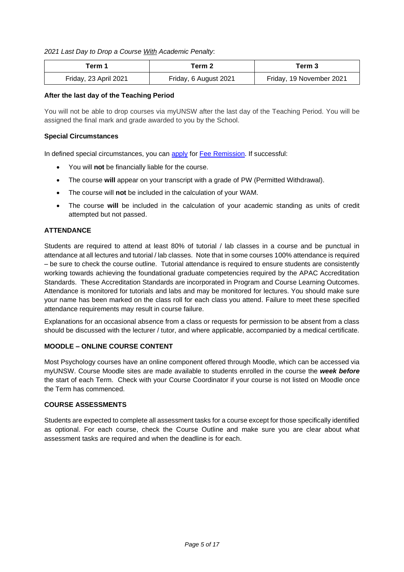# *2021 Last Day to Drop a Course With Academic Penalty*:

| Геrm 1                | Term 2                | Term 3                   |
|-----------------------|-----------------------|--------------------------|
| Friday, 23 April 2021 | Friday, 6 August 2021 | Friday, 19 November 2021 |

## **After the last day of the Teaching Period**

You will not be able to drop courses via myUNSW after the last day of the Teaching Period. You will be assigned the final mark and grade awarded to you by the School.

## **Special Circumstances**

In defined special circumstances, you can [apply](https://portal.insight.unsw.edu.au/web-forms/) for [Fee Remission.](https://student.unsw.edu.au/fee-remission) If successful:

- You will **not** be financially liable for the course.
- The course **will** appear on your transcript with a grade of PW (Permitted Withdrawal).
- The course will **not** be included in the calculation of your WAM.
- The course **will** be included in the calculation of your academic standing as units of credit attempted but not passed.

# **ATTENDANCE**

Students are required to attend at least 80% of tutorial / lab classes in a course and be punctual in attendance at all lectures and tutorial / lab classes. Note that in some courses 100% attendance is required – be sure to check the course outline. Tutorial attendance is required to ensure students are consistently working towards achieving the foundational graduate competencies required by the APAC Accreditation Standards. These Accreditation Standards are incorporated in Program and Course Learning Outcomes. Attendance is monitored for tutorials and labs and may be monitored for lectures. You should make sure your name has been marked on the class roll for each class you attend. Failure to meet these specified attendance requirements may result in course failure.

Explanations for an occasional absence from a class or requests for permission to be absent from a class should be discussed with the lecturer / tutor, and where applicable, accompanied by a medical certificate.

## **MOODLE – ONLINE COURSE CONTENT**

Most Psychology courses have an online component offered through Moodle, which can be accessed via myUNSW. Course Moodle sites are made available to students enrolled in the course the *week before* the start of each Term. Check with your Course Coordinator if your course is not listed on Moodle once the Term has commenced.

## **COURSE ASSESSMENTS**

Students are expected to complete all assessment tasks for a course except for those specifically identified as optional. For each course, check the Course Outline and make sure you are clear about what assessment tasks are required and when the deadline is for each.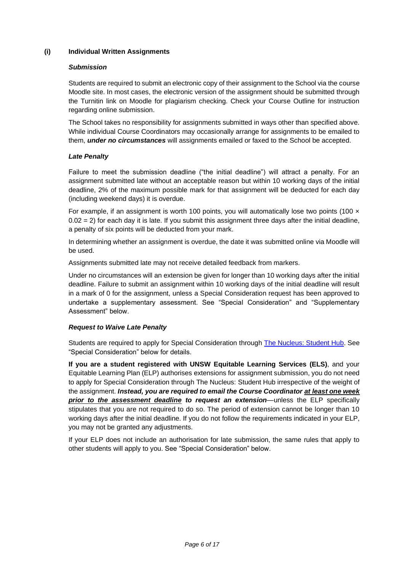## **(i) Individual Written Assignments**

### *Submission*

Students are required to submit an electronic copy of their assignment to the School via the course Moodle site. In most cases, the electronic version of the assignment should be submitted through the Turnitin link on Moodle for plagiarism checking. Check your Course Outline for instruction regarding online submission.

The School takes no responsibility for assignments submitted in ways other than specified above. While individual Course Coordinators may occasionally arrange for assignments to be emailed to them, *under no circumstances* will assignments emailed or faxed to the School be accepted.

## *Late Penalty*

Failure to meet the submission deadline ("the initial deadline") will attract a penalty. For an assignment submitted late without an acceptable reason but within 10 working days of the initial deadline, 2% of the maximum possible mark for that assignment will be deducted for each day (including weekend days) it is overdue.

For example, if an assignment is worth 100 points, you will automatically lose two points (100  $\times$  $0.02 = 2$ ) for each day it is late. If you submit this assignment three days after the initial deadline, a penalty of six points will be deducted from your mark.

In determining whether an assignment is overdue, the date it was submitted online via Moodle will be used.

Assignments submitted late may not receive detailed feedback from markers.

Under no circumstances will an extension be given for longer than 10 working days after the initial deadline. Failure to submit an assignment within 10 working days of the initial deadline will result in a mark of 0 for the assignment, unless a Special Consideration request has been approved to undertake a supplementary assessment. See "Special Consideration" and "Supplementary Assessment" below.

## *Request to Waive Late Penalty*

Students are required to apply for Special Consideration through [The Nucleus: Student Hub.](https://nucleus.unsw.edu.au/en/contact-us) See "Special Consideration" below for details.

**If you are a student registered with UNSW Equitable Learning Services (ELS)**, and your Equitable Learning Plan (ELP) authorises extensions for assignment submission, you do not need to apply for Special Consideration through The Nucleus: Student Hub irrespective of the weight of the assignment. *Instead, you are required to email the Course Coordinator at least one week prior to the assessment deadline to request an extension*—unless the ELP specifically stipulates that you are not required to do so. The period of extension cannot be longer than 10 working days after the initial deadline. If you do not follow the requirements indicated in your ELP, you may not be granted any adjustments.

If your ELP does not include an authorisation for late submission, the same rules that apply to other students will apply to you. See "Special Consideration" below.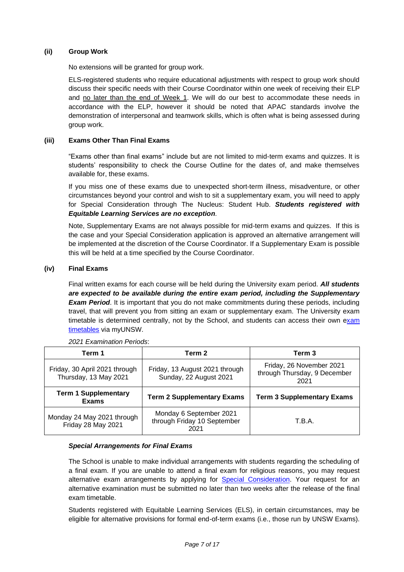## **(ii) Group Work**

No extensions will be granted for group work.

ELS-registered students who require educational adjustments with respect to group work should discuss their specific needs with their Course Coordinator within one week of receiving their ELP and no later than the end of Week 1. We will do our best to accommodate these needs in accordance with the ELP, however it should be noted that APAC standards involve the demonstration of interpersonal and teamwork skills, which is often what is being assessed during group work.

# **(iii) Exams Other Than Final Exams**

"Exams other than final exams" include but are not limited to mid-term exams and quizzes. It is students' responsibility to check the Course Outline for the dates of, and make themselves available for, these exams.

If you miss one of these exams due to unexpected short-term illness, misadventure, or other circumstances beyond your control and wish to sit a supplementary exam, you will need to apply for Special Consideration through The Nucleus: Student Hub. *Students registered with Equitable Learning Services are no exception*.

Note, Supplementary Exams are not always possible for mid-term exams and quizzes. If this is the case and your Special Consideration application is approved an alternative arrangement will be implemented at the discretion of the Course Coordinator. If a Supplementary Exam is possible this will be held at a time specified by the Course Coordinator.

# **(iv) Final Exams**

Final written exams for each course will be held during the University exam period. *All students are expected to be available during the entire exam period, including the Supplementary*  **Exam Period.** It is important that you do not make commitments during these periods, including travel, that will prevent you from sitting an exam or supplementary exam. The University exam timetable is determined centrally, not by the School, and students can access their own exam [timetables](https://student.unsw.edu.au/exam-timetable) via myUNSW.

| Term 1                                                 | Term 2                                                         | Term 3                                                           |
|--------------------------------------------------------|----------------------------------------------------------------|------------------------------------------------------------------|
| Friday, 30 April 2021 through<br>Thursday, 13 May 2021 | Friday, 13 August 2021 through<br>Sunday, 22 August 2021       | Friday, 26 November 2021<br>through Thursday, 9 December<br>2021 |
| <b>Term 1 Supplementary</b><br><b>Exams</b>            | <b>Term 2 Supplementary Exams</b>                              | <b>Term 3 Supplementary Exams</b>                                |
| Monday 24 May 2021 through<br>Friday 28 May 2021       | Monday 6 September 2021<br>through Friday 10 September<br>2021 | T.B.A.                                                           |

*2021 Examination Periods*:

## *Special Arrangements for Final Exams*

The School is unable to make individual arrangements with students regarding the scheduling of a final exam. If you are unable to attend a final exam for religious reasons, you may request alternative exam arrangements by applying for [Special Consideration.](https://student.unsw.edu.au/exam-alternative-arrangements-religion) Your request for an alternative examination must be submitted no later than two weeks after the release of the final exam timetable.

Students registered with Equitable Learning Services (ELS), in certain circumstances, may be eligible for alternative provisions for formal end-of-term exams (i.e., those run by UNSW Exams).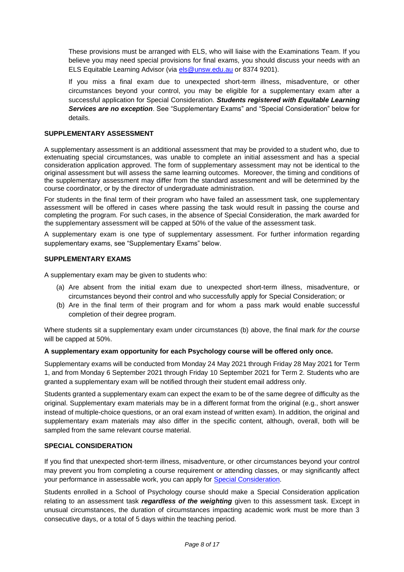These provisions must be arranged with ELS, who will liaise with the Examinations Team. If you believe you may need special provisions for final exams, you should discuss your needs with an ELS Equitable Learning Advisor (via els @unsw.edu.au or 8374 9201).

If you miss a final exam due to unexpected short-term illness, misadventure, or other circumstances beyond your control, you may be eligible for a supplementary exam after a successful application for Special Consideration. *Students registered with Equitable Learning Services are no exception*. See "Supplementary Exams" and "Special Consideration" below for details.

#### **SUPPLEMENTARY ASSESSMENT**

A supplementary assessment is an additional assessment that may be provided to a student who, due to extenuating special circumstances, was unable to complete an initial assessment and has a special consideration application approved. The form of supplementary assessment may not be identical to the original assessment but will assess the same learning outcomes. Moreover, the timing and conditions of the supplementary assessment may differ from the standard assessment and will be determined by the course coordinator, or by the director of undergraduate administration.

For students in the final term of their program who have failed an assessment task, one supplementary assessment will be offered in cases where passing the task would result in passing the course and completing the program. For such cases, in the absence of Special Consideration, the mark awarded for the supplementary assessment will be capped at 50% of the value of the assessment task.

A supplementary exam is one type of supplementary assessment. For further information regarding supplementary exams, see "Supplementary Exams" below.

#### **SUPPLEMENTARY EXAMS**

A supplementary exam may be given to students who:

- (a) Are absent from the initial exam due to unexpected short-term illness, misadventure, or circumstances beyond their control and who successfully apply for Special Consideration; or
- (b) Are in the final term of their program and for whom a pass mark would enable successful completion of their degree program.

Where students sit a supplementary exam under circumstances (b) above, the final mark *for the course* will be capped at 50%.

#### **A supplementary exam opportunity for each Psychology course will be offered only once.**

Supplementary exams will be conducted from Monday 24 May 2021 through Friday 28 May 2021 for Term 1, and from Monday 6 September 2021 through Friday 10 September 2021 for Term 2. Students who are granted a supplementary exam will be notified through their student email address only.

Students granted a supplementary exam can expect the exam to be of the same degree of difficulty as the original. Supplementary exam materials may be in a different format from the original (e.g., short answer instead of multiple-choice questions, or an oral exam instead of written exam). In addition, the original and supplementary exam materials may also differ in the specific content, although, overall, both will be sampled from the same relevant course material.

## **SPECIAL CONSIDERATION**

If you find that unexpected short-term illness, misadventure, or other circumstances beyond your control may prevent you from completing a course requirement or attending classes, or may significantly affect your performance in assessable work, you can apply for [Special Consideration.](https://student.unsw.edu.au/special-consideration)

Students enrolled in a School of Psychology course should make a Special Consideration application relating to an assessment task *regardless of the weighting* given to this assessment task. Except in unusual circumstances, the duration of circumstances impacting academic work must be more than 3 consecutive days, or a total of 5 days within the teaching period.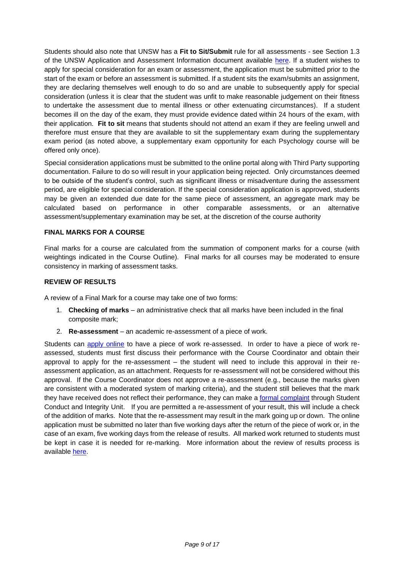Students should also note that UNSW has a **Fit to Sit/Submit** rule for all assessments - see Section 1.3 of the UNSW Application and Assessment Information document available [here.](https://student.unsw.edu.au/special-consideration) If a student wishes to apply for special consideration for an exam or assessment, the application must be submitted prior to the start of the exam or before an assessment is submitted. If a student sits the exam/submits an assignment, they are declaring themselves well enough to do so and are unable to subsequently apply for special consideration (unless it is clear that the student was unfit to make reasonable judgement on their fitness to undertake the assessment due to mental illness or other extenuating circumstances). If a student becomes ill on the day of the exam, they must provide evidence dated within 24 hours of the exam, with their application. **Fit to sit** means that students should not attend an exam if they are feeling unwell and therefore must ensure that they are available to sit the supplementary exam during the supplementary exam period (as noted above, a supplementary exam opportunity for each Psychology course will be offered only once).

Special consideration applications must be submitted to the online portal along with Third Party supporting documentation. Failure to do so will result in your application being rejected. Only circumstances deemed to be outside of the student's control, such as significant illness or misadventure during the assessment period, are eligible for special consideration. If the special consideration application is approved, students may be given an extended due date for the same piece of assessment, an aggregate mark may be calculated based on performance in other comparable assessments, or an alternative assessment/supplementary examination may be set, at the discretion of the course authority

# **FINAL MARKS FOR A COURSE**

Final marks for a course are calculated from the summation of component marks for a course (with weightings indicated in the Course Outline). Final marks for all courses may be moderated to ensure consistency in marking of assessment tasks.

# **REVIEW OF RESULTS**

A review of a Final Mark for a course may take one of two forms:

- 1. **Checking of marks** an administrative check that all marks have been included in the final composite mark;
- 2. **Re-assessment**  an academic re-assessment of a piece of work.

Students can [apply online](https://portal.insight.unsw.edu.au/web-forms/) to have a piece of work re-assessed. In order to have a piece of work reassessed, students must first discuss their performance with the Course Coordinator and obtain their approval to apply for the re-assessment – the student will need to include this approval in their reassessment application, as an attachment. Requests for re-assessment will not be considered without this approval. If the Course Coordinator does not approve a re-assessment (e.g., because the marks given are consistent with a moderated system of marking criteria), and the student still believes that the mark they have received does not reflect their performance, they can make a [formal complaint](https://portal.insight.unsw.edu.au/complaints/) through Student Conduct and Integrity Unit. If you are permitted a re-assessment of your result, this will include a check of the addition of marks. Note that the re-assessment may result in the mark going up or down. The online application must be submitted no later than five working days after the return of the piece of work or, in the case of an exam, five working days from the release of results. All marked work returned to students must be kept in case it is needed for re-marking. More information about the review of results process is available [here.](https://student.unsw.edu.au/results)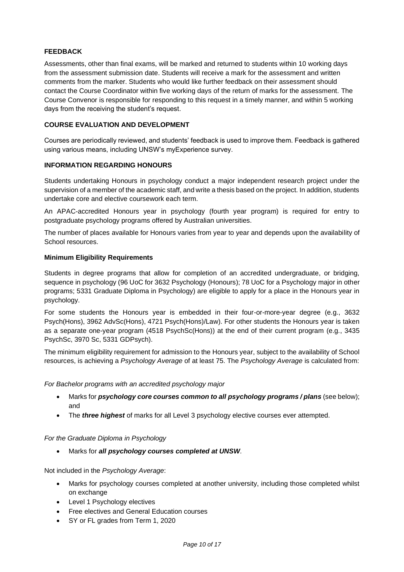# **FEEDBACK**

Assessments, other than final exams, will be marked and returned to students within 10 working days from the assessment submission date. Students will receive a mark for the assessment and written comments from the marker. Students who would like further feedback on their assessment should contact the Course Coordinator within five working days of the return of marks for the assessment. The Course Convenor is responsible for responding to this request in a timely manner, and within 5 working days from the receiving the student's request.

## **COURSE EVALUATION AND DEVELOPMENT**

Courses are periodically reviewed, and students' feedback is used to improve them. Feedback is gathered using various means, including UNSW's myExperience survey.

## **INFORMATION REGARDING HONOURS**

Students undertaking Honours in psychology conduct a major independent research project under the supervision of a member of the academic staff, and write a thesis based on the project. In addition, students undertake core and elective coursework each term.

An APAC-accredited Honours year in psychology (fourth year program) is required for entry to postgraduate psychology programs offered by Australian universities.

The number of places available for Honours varies from year to year and depends upon the availability of School resources.

## **Minimum Eligibility Requirements**

Students in degree programs that allow for completion of an accredited undergraduate, or bridging, sequence in psychology (96 UoC for 3632 Psychology (Honours); 78 UoC for a Psychology major in other programs; 5331 Graduate Diploma in Psychology) are eligible to apply for a place in the Honours year in psychology.

For some students the Honours year is embedded in their four-or-more-year degree (e.g., 3632 Psych(Hons), 3962 AdvSc(Hons), 4721 Psych(Hons)/Law). For other students the Honours year is taken as a separate one-year program (4518 PsychSc(Hons)) at the end of their current program (e.g., 3435 PsychSc, 3970 Sc, 5331 GDPsych).

The minimum eligibility requirement for admission to the Honours year, subject to the availability of School resources, is achieving a *Psychology Average* of at least 75. The *Psychology Average* is calculated from:

## *For Bachelor programs with an accredited psychology major*

- Marks for *psychology core courses common to all psychology programs / plans* (see below); and
- The *three highest* of marks for all Level 3 psychology elective courses ever attempted.

## *For the Graduate Diploma in Psychology*

• Marks for *all psychology courses completed at UNSW.*

Not included in the *Psychology Average*:

- Marks for psychology courses completed at another university, including those completed whilst on exchange
- Level 1 Psychology electives
- Free electives and General Education courses
- SY or FL grades from Term 1, 2020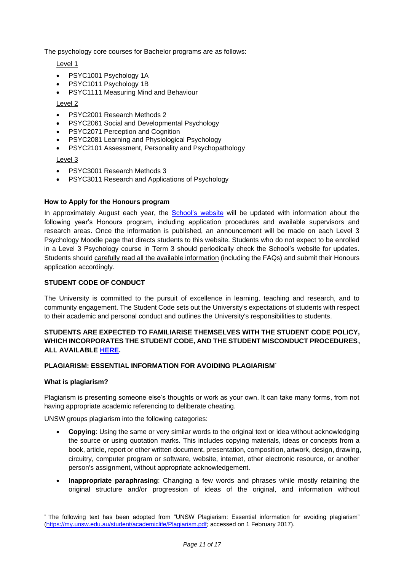The psychology core courses for Bachelor programs are as follows:

Level 1

- PSYC1001 Psychology 1A
- PSYC1011 Psychology 1B
- PSYC1111 Measuring Mind and Behaviour

## Level 2

- PSYC2001 Research Methods 2
- PSYC2061 Social and Developmental Psychology
- PSYC2071 Perception and Cognition
- PSYC2081 Learning and Physiological Psychology
- PSYC2101 Assessment, Personality and Psychopathology

## Level 3

- PSYC3001 Research Methods 3
- PSYC3011 Research and Applications of Psychology

## **How to Apply for the Honours program**

In approximately August each year, the [School's website](http://www.psy.unsw.edu.au/current-students/undergraduate/honours) will be updated with information about the following year's Honours program, including application procedures and available supervisors and research areas. Once the information is published, an announcement will be made on each Level 3 Psychology Moodle page that directs students to this website. Students who do not expect to be enrolled in a Level 3 Psychology course in Term 3 should periodically check the School's website for updates. Students should carefully read all the available information (including the FAQs) and submit their Honours application accordingly.

## **STUDENT CODE OF CONDUCT**

The University is committed to the pursuit of excellence in learning, teaching and research, and to community engagement. The Student Code sets out the University's expectations of students with respect to their academic and personal conduct and outlines the University's responsibilities to students.

# **STUDENTS ARE EXPECTED TO FAMILIARISE THEMSELVES WITH THE STUDENT CODE POLICY, WHICH INCORPORATES THE STUDENT CODE, AND THE STUDENT MISCONDUCT PROCEDURES, ALL AVAILABLE [HERE.](https://student.unsw.edu.au/conduct)**

## **PLAGIARISM: ESSENTIAL INFORMATION FOR AVOIDING PLAGIARISM**\*

## **What is plagiarism?**

Plagiarism is presenting someone else's thoughts or work as your own. It can take many forms, from not having appropriate academic referencing to deliberate cheating.

UNSW groups plagiarism into the following categories:

- **Copying**: Using the same or very similar words to the original text or idea without acknowledging the source or using quotation marks. This includes copying materials, ideas or concepts from a book, article, report or other written document, presentation, composition, artwork, design, drawing, circuitry, computer program or software, website, internet, other electronic resource, or another person's assignment, without appropriate acknowledgement.
- **Inappropriate paraphrasing**: Changing a few words and phrases while mostly retaining the original structure and/or progression of ideas of the original, and information without

The following text has been adopted from "UNSW Plagiarism: Essential information for avoiding plagiarism" [\(https://my.unsw.edu.au/student/academiclife/Plagiarism.pdf;](https://my.unsw.edu.au/student/academiclife/Plagiarism.pdf) accessed on 1 February 2017).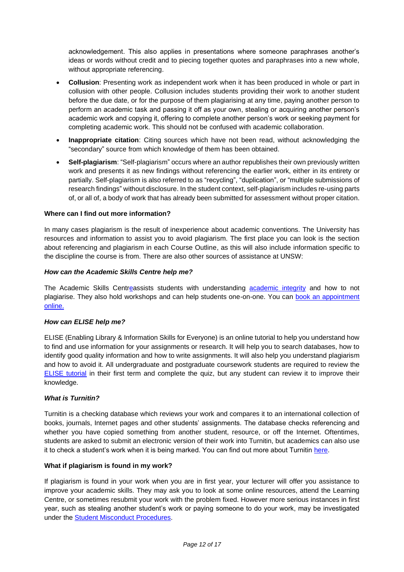acknowledgement. This also applies in presentations where someone paraphrases another's ideas or words without credit and to piecing together quotes and paraphrases into a new whole, without appropriate referencing.

- **Collusion**: Presenting work as independent work when it has been produced in whole or part in collusion with other people. Collusion includes students providing their work to another student before the due date, or for the purpose of them plagiarising at any time, paying another person to perform an academic task and passing it off as your own, stealing or acquiring another person's academic work and copying it, offering to complete another person's work or seeking payment for completing academic work. This should not be confused with academic collaboration.
- **Inappropriate citation**: Citing sources which have not been read, without acknowledging the "secondary" source from which knowledge of them has been obtained.
- **Self-plagiarism**: "Self-plagiarism" occurs where an author republishes their own previously written work and presents it as new findings without referencing the earlier work, either in its entirety or partially. Self-plagiarism is also referred to as "recycling", "duplication", or "multiple submissions of research findings" without disclosure. In the student context, self-plagiarism includes re-using parts of, or all of, a body of work that has already been submitted for assessment without proper citation.

## **Where can I find out more information?**

In many cases plagiarism is the result of inexperience about academic conventions. The University has resources and information to assist you to avoid plagiarism. The first place you can look is the section about referencing and plagiarism in each Course Outline, as this will also include information specific to the discipline the course is from. There are also other sources of assistance at UNSW:

#### *How can the Academic Skills Centre help me?*

The [Academic Skills Centrea](https://student.unsw.edu.au/skills)ssists students with understanding [academic integrity](https://student.unsw.edu.au/plagiarism) and how to not plagiarise. They also hold workshops and can help students one-on-one. You can [book an appointment](https://student.unsw.edu.au/skills)  [online.](https://student.unsw.edu.au/skills)

#### *How can ELISE help me?*

ELISE (Enabling Library & Information Skills for Everyone) is an online tutorial to help you understand how to find and use information for your assignments or research. It will help you to search databases, how to identify good quality information and how to write assignments. It will also help you understand plagiarism and how to avoid it. All undergraduate and postgraduate coursework students are required to review the [ELISE tutorial](http://subjectguides.library.unsw.edu.au/elise) in their first term and complete the quiz, but any student can review it to improve their knowledge.

#### *What is Turnitin?*

Turnitin is a checking database which reviews your work and compares it to an international collection of books, journals, Internet pages and other students' assignments. The database checks referencing and whether you have copied something from another student, resource, or off the Internet. Oftentimes, students are asked to submit an electronic version of their work into Turnitin, but academics can also use it to check a student's work when it is being marked. You can find out more about Turnitin [here.](https://student.unsw.edu.au/how-use-turnitin-within-moodle)

#### **What if plagiarism is found in my work?**

If plagiarism is found in your work when you are in first year, your lecturer will offer you assistance to improve your academic skills. They may ask you to look at some online resources, attend the Learning Centre, or sometimes resubmit your work with the problem fixed. However more serious instances in first year, such as stealing another student's work or paying someone to do your work, may be investigated under the [Student Misconduct Procedures.](https://student.unsw.edu.au/conduct)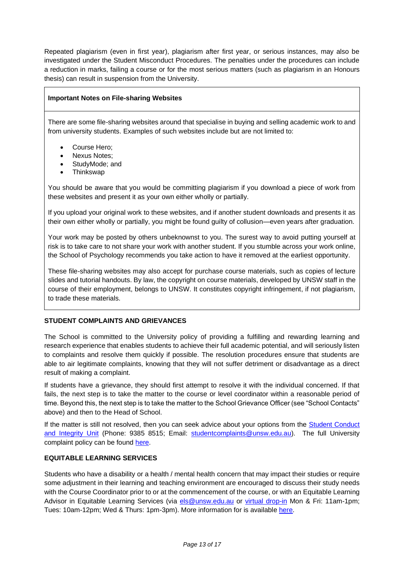Repeated plagiarism (even in first year), plagiarism after first year, or serious instances, may also be investigated under the Student Misconduct Procedures. The penalties under the procedures can include a reduction in marks, failing a course or for the most serious matters (such as plagiarism in an Honours thesis) can result in suspension from the University.

# **Important Notes on File-sharing Websites**

There are some file-sharing websites around that specialise in buying and selling academic work to and from university students. Examples of such websites include but are not limited to:

- Course Hero:
- Nexus Notes;
- StudyMode; and
- Thinkswap

You should be aware that you would be committing plagiarism if you download a piece of work from these websites and present it as your own either wholly or partially.

If you upload your original work to these websites, and if another student downloads and presents it as their own either wholly or partially, you might be found guilty of collusion—even years after graduation.

Your work may be posted by others unbeknownst to you. The surest way to avoid putting yourself at risk is to take care to not share your work with another student. If you stumble across your work online, the School of Psychology recommends you take action to have it removed at the earliest opportunity.

These file-sharing websites may also accept for purchase course materials, such as copies of lecture slides and tutorial handouts. By law, the copyright on course materials, developed by UNSW staff in the course of their employment, belongs to UNSW. It constitutes copyright infringement, if not plagiarism, to trade these materials.

## **STUDENT COMPLAINTS AND GRIEVANCES**

The School is committed to the University policy of providing a fulfilling and rewarding learning and research experience that enables students to achieve their full academic potential, and will seriously listen to complaints and resolve them quickly if possible. The resolution procedures ensure that students are able to air legitimate complaints, knowing that they will not suffer detriment or disadvantage as a direct result of making a complaint.

If students have a grievance, they should first attempt to resolve it with the individual concerned. If that fails, the next step is to take the matter to the course or level coordinator within a reasonable period of time. Beyond this, the next step is to take the matter to the School Grievance Officer (see "School Contacts" above) and then to the Head of School.

If the matter is still not resolved, then you can seek advice about your options from the Student Conduct [and Integrity Unit](https://student.unsw.edu.au/conduct) (Phone: 9385 8515; Email: [studentcomplaints@unsw.edu.au\)](mailto:studentcomplaints@unsw.edu.au). The full University complaint policy can be found [here.](https://student.unsw.edu.au/complaint)

## **EQUITABLE LEARNING SERVICES**

Students who have a disability or a health / mental health concern that may impact their studies or require some adjustment in their learning and teaching environment are encouraged to discuss their study needs with the Course Coordinator prior to or at the commencement of the course, or with an Equitable Learning Advisor in Equitable Learning Services (via [els@unsw.edu.au](mailto:els@unsw.edu.au) or [virtual drop-in](https://student.unsw.edu.au/els/contacts) Mon & Fri: 11am-1pm; Tues: 10am-12pm; Wed & Thurs: 1pm-3pm). More information for is available [here.](https://student.unsw.edu.au/els)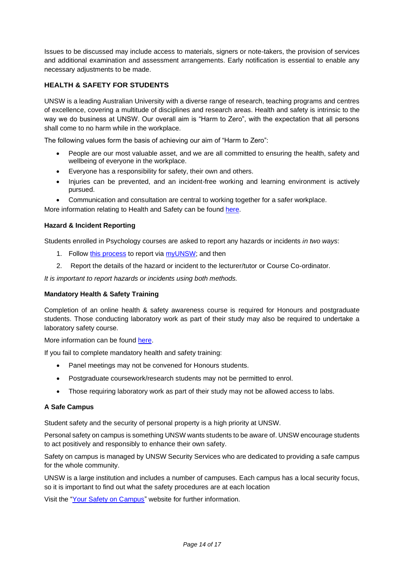Issues to be discussed may include access to materials, signers or note-takers, the provision of services and additional examination and assessment arrangements. Early notification is essential to enable any necessary adjustments to be made.

# **HEALTH & SAFETY FOR STUDENTS**

UNSW is a leading Australian University with a diverse range of research, teaching programs and centres of excellence, covering a multitude of disciplines and research areas. Health and safety is intrinsic to the way we do business at UNSW. Our overall aim is "Harm to Zero", with the expectation that all persons shall come to no harm while in the workplace.

The following values form the basis of achieving our aim of "Harm to Zero":

- People are our most valuable asset, and we are all committed to ensuring the health, safety and wellbeing of everyone in the workplace.
- Everyone has a responsibility for safety, their own and others.
- Injuries can be prevented, and an incident-free working and learning environment is actively pursued.
- Communication and consultation are central to working together for a safer workplace.

More information relating to Health and Safety can be found [here.](http://safety.unsw.edu.au/)

## **Hazard & Incident Reporting**

Students enrolled in Psychology courses are asked to report any hazards or incidents *in two ways*:

- 1. Follow [this process](https://safety.unsw.edu.au/reporting-hazards-incidents) to report via [myUNSW;](https://my.unsw.edu.au/) and then
- 2. Report the details of the hazard or incident to the lecturer/tutor or Course Co-ordinator.

*It is important to report hazards or incidents using both methods.*

## **Mandatory Health & Safety Training**

Completion of an online health & safety awareness course is required for Honours and postgraduate students. Those conducting laboratory work as part of their study may also be required to undertake a laboratory safety course.

More information can be found [here.](http://safety.unsw.edu.au/Training/student-training)

If you fail to complete mandatory health and safety training:

- Panel meetings may not be convened for Honours students.
- Postgraduate coursework/research students may not be permitted to enrol.
- Those requiring laboratory work as part of their study may not be allowed access to labs.

## **A Safe Campus**

Student safety and the security of personal property is a high priority at UNSW.

Personal safety on campus is something UNSW wants students to be aware of. UNSW encourage students to act positively and responsibly to enhance their own safety.

Safety on campus is managed by [UNSW Security Services](https://www.estate.unsw.edu.au/security) who are dedicated to providing a safe campus for the whole community.

UNSW is a large institution and includes a number of [campuses.](https://www.estate.unsw.edu.au/getting-here/maps) Each campus has a local security focus, so it is important to find out what the safety procedures are at each location

Visit the ["Your Safety on Campus"](https://www.estate.unsw.edu.au/news/your-safety-campus) website for further information.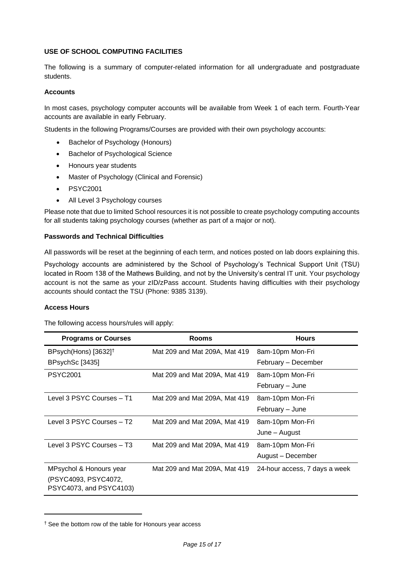## **USE OF SCHOOL COMPUTING FACILITIES**

The following is a summary of computer-related information for all undergraduate and postgraduate students.

#### **Accounts**

In most cases, psychology computer accounts will be available from Week 1 of each term. Fourth-Year accounts are available in early February.

Students in the following Programs/Courses are provided with their own psychology accounts:

- Bachelor of Psychology (Honours)
- Bachelor of Psychological Science
- Honours year students
- Master of Psychology (Clinical and Forensic)
- PSYC2001
- All Level 3 Psychology courses

Please note that due to limited School resources it is not possible to create psychology computing accounts for all students taking psychology courses (whether as part of a major or not).

#### **Passwords and Technical Difficulties**

All passwords will be reset at the beginning of each term, and notices posted on lab doors explaining this.

Psychology accounts are administered by the School of Psychology's Technical Support Unit (TSU) located in Room 138 of the Mathews Building, and not by the University's central IT unit. Your psychology account is not the same as your zID/zPass account. Students having difficulties with their psychology accounts should contact the TSU (Phone: 9385 3139).

#### **Access Hours**

The following access hours/rules will apply:

| <b>Programs or Courses</b>       | <b>Rooms</b>                  | <b>Hours</b>                  |
|----------------------------------|-------------------------------|-------------------------------|
| BPsych(Hons) [3632] <sup>†</sup> | Mat 209 and Mat 209A, Mat 419 | 8am-10pm Mon-Fri              |
| BPsychSc [3435]                  |                               | February - December           |
| <b>PSYC2001</b>                  | Mat 209 and Mat 209A, Mat 419 | 8am-10pm Mon-Fri              |
|                                  |                               | February – June               |
| Level 3 PSYC Courses - T1        | Mat 209 and Mat 209A, Mat 419 | 8am-10pm Mon-Fri              |
|                                  |                               | February – June               |
| Level 3 PSYC Courses - T2        | Mat 209 and Mat 209A, Mat 419 | 8am-10pm Mon-Fri              |
|                                  |                               | June – August                 |
| Level 3 PSYC Courses - T3        | Mat 209 and Mat 209A, Mat 419 | 8am-10pm Mon-Fri              |
|                                  |                               | August - December             |
| MPsychol & Honours year          | Mat 209 and Mat 209A, Mat 419 | 24-hour access, 7 days a week |
| (PSYC4093, PSYC4072,             |                               |                               |
| PSYC4073, and PSYC4103)          |                               |                               |

<sup>†</sup> See the bottom row of the table for Honours year access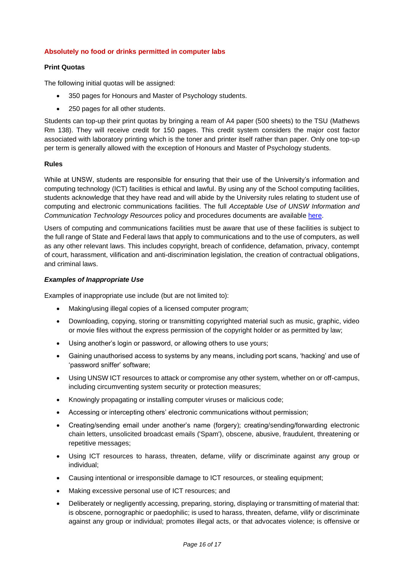## **Absolutely no food or drinks permitted in computer labs**

# **Print Quotas**

The following initial quotas will be assigned:

- 350 pages for Honours and Master of Psychology students.
- 250 pages for all other students.

Students can top-up their print quotas by bringing a ream of A4 paper (500 sheets) to the TSU (Mathews Rm 138). They will receive credit for 150 pages. This credit system considers the major cost factor associated with laboratory printing which is the toner and printer itself rather than paper. Only one top-up per term is generally allowed with the exception of Honours and Master of Psychology students.

# **Rules**

While at UNSW, students are responsible for ensuring that their use of the University's information and computing technology (ICT) facilities is ethical and lawful. By using any of the School computing facilities, students acknowledge that they have read and will abide by the University rules relating to student use of computing and electronic communications facilities. The full *Acceptable Use of UNSW Information and Communication Technology Resources* policy and procedures documents are available [here.](https://www.gs.unsw.edu.au/policy/findapolicy/policylist.html)

Users of computing and communications facilities must be aware that use of these facilities is subject to the full range of State and Federal laws that apply to communications and to the use of computers, as well as any other relevant laws. This includes copyright, breach of confidence, defamation, privacy, contempt of court, harassment, vilification and anti-discrimination legislation, the creation of contractual obligations, and criminal laws.

## *Examples of Inappropriate Use*

Examples of inappropriate use include (but are not limited to):

- Making/using illegal copies of a licensed computer program;
- Downloading, copying, storing or transmitting copyrighted material such as music, graphic, video or movie files without the express permission of the copyright holder or as permitted by law;
- Using another's login or password, or allowing others to use yours;
- Gaining unauthorised access to systems by any means, including port scans, 'hacking' and use of 'password sniffer' software;
- Using UNSW ICT resources to attack or compromise any other system, whether on or off-campus, including circumventing system security or protection measures;
- Knowingly propagating or installing computer viruses or malicious code;
- Accessing or intercepting others' electronic communications without permission;
- Creating/sending email under another's name (forgery); creating/sending/forwarding electronic chain letters, unsolicited broadcast emails ('Spam'), obscene, abusive, fraudulent, threatening or repetitive messages;
- Using ICT resources to harass, threaten, defame, vilify or discriminate against any group or individual;
- Causing intentional or irresponsible damage to ICT resources, or stealing equipment;
- Making excessive personal use of ICT resources; and
- Deliberately or negligently accessing, preparing, storing, displaying or transmitting of material that: is obscene, pornographic or paedophilic; is used to harass, threaten, defame, vilify or discriminate against any group or individual; promotes illegal acts, or that advocates violence; is offensive or